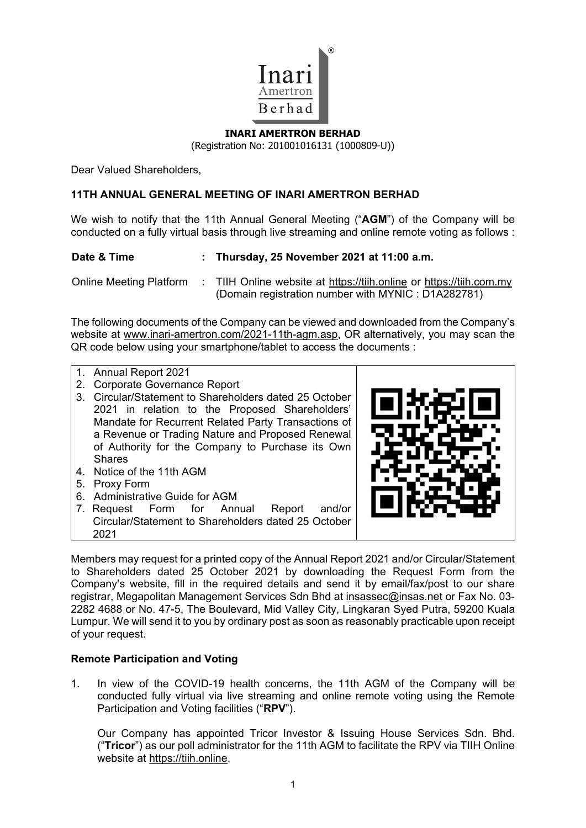

## **INARI AMERTRON BERHAD**  (Registration No: 201001016131 (1000809-U))

Dear Valued Shareholders,

## **11TH ANNUAL GENERAL MEETING OF INARI AMERTRON BERHAD**

We wish to notify that the 11th Annual General Meeting ("**AGM**") of the Company will be conducted on a fully virtual basis through live streaming and online remote voting as follows :

| Date & Time                    | : Thursday, 25 November 2021 at $11:00$ a.m.                                                                               |
|--------------------------------|----------------------------------------------------------------------------------------------------------------------------|
| <b>Online Meeting Platform</b> | : TIIH Online website at https://tiih.online or https://tiih.com.my<br>(Domain registration number with MYNIC : D1A282781) |

The following documents of the Company can be viewed and downloaded from the Company's website at www.inari-amertron.com/2021-11th-agm.asp, OR alternatively, you may scan the QR code below using your smartphone/tablet to access the documents :

- 1. Annual Report 2021
- 2. Corporate Governance Report
- 3. Circular/Statement to Shareholders dated 25 October 2021 in relation to the Proposed Shareholders' Mandate for Recurrent Related Party Transactions of a Revenue or Trading Nature and Proposed Renewal of Authority for the Company to Purchase its Own Shares
- 4. Notice of the 11th AGM
- 5. Proxy Form
- 6. Administrative Guide for AGM<br>7. Request Form for Annual
- 7. Request Form for Annual Report and/or Circular/Statement to Shareholders dated 25 October 2021



Members may request for a printed copy of the Annual Report 2021 and/or Circular/Statement to Shareholders dated 25 October 2021 by downloading the Request Form from the Company's website, fill in the required details and send it by email/fax/post to our share registrar, Megapolitan Management Services Sdn Bhd at insassec@insas.net or Fax No. 03- 2282 4688 or No. 47-5, The Boulevard, Mid Valley City, Lingkaran Syed Putra, 59200 Kuala Lumpur. We will send it to you by ordinary post as soon as reasonably practicable upon receipt of your request.

## **Remote Participation and Voting**

1. In view of the COVID-19 health concerns, the 11th AGM of the Company will be conducted fully virtual via live streaming and online remote voting using the Remote Participation and Voting facilities ("**RPV**").

 Our Company has appointed Tricor Investor & Issuing House Services Sdn. Bhd. ("**Tricor**") as our poll administrator for the 11th AGM to facilitate the RPV via TIIH Online website at https://tiih.online.